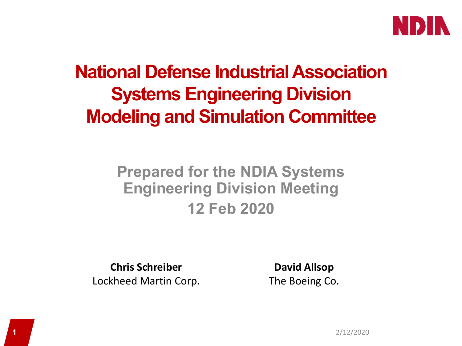

## **National Defense Industrial Association Systems Engineering Division Modeling and Simulation Committee**

### **Prepared for the NDIA Systems Engineering Division Meeting 12 Feb 2020**

**Chris Schreiber** Lockheed Martin Corp.

**David Allsop** The Boeing Co.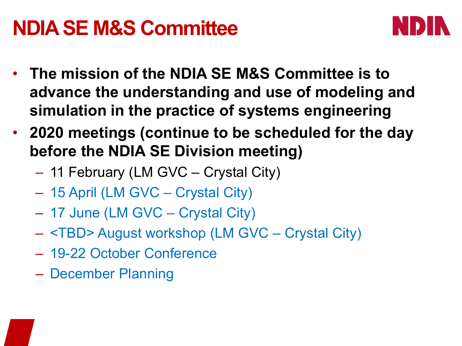## **NDIA SE M&S Committee**



- **The mission of the NDIA SE M&S Committee is to advance the understanding and use of modeling and simulation in the practice of systems engineering**
- **2020 meetings (continue to be scheduled for the day before the NDIA SE Division meeting)**
	- 11 February (LM GVC Crystal City)
	- 15 April (LM GVC Crystal City)
	- 17 June (LM GVC Crystal City)
	- <TBD> August workshop (LM GVC Crystal City)
	- 19-22 October Conference
	- December Planning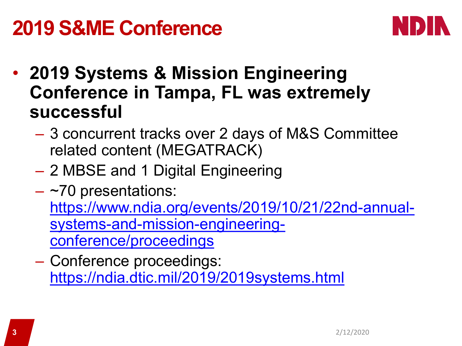# **2019 S&ME Conference**



- **2019 Systems & Mission Engineering Conference in Tampa, FL was extremely successful**
	- 3 concurrent tracks over 2 days of M&S Committee related content (MEGATRACK)
	- 2 MBSE and 1 Digital Engineering
	- $-$  ~70 presentations: [https://www.ndia.org/events/2019/10/21/22nd-annual](https://www.ndia.org/events/2019/10/21/22nd-annual-systems-and-mission-engineering-conference/proceedings)systems-and-mission-engineeringconference/proceedings
	- Conference proceedings: <https://ndia.dtic.mil/2019/2019systems.html>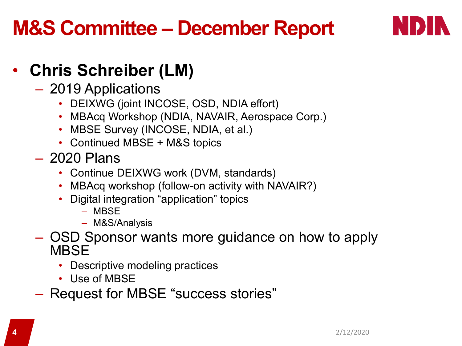# **M&S Committee – December Report**



## • **Chris Schreiber (LM)**

- 2019 Applications
	- DEIXWG (joint INCOSE, OSD, NDIA effort)
	- MBAcq Workshop (NDIA, NAVAIR, Aerospace Corp.)
	- MBSE Survey (INCOSE, NDIA, et al.)
	- Continued MBSE + M&S topics
- 2020 Plans
	- Continue DEIXWG work (DVM, standards)
	- MBAcq workshop (follow-on activity with NAVAIR?)
	- Digital integration "application" topics
		- MBSE
		- M&S/Analysis
- OSD Sponsor wants more guidance on how to apply **MBSF** 
	- Descriptive modeling practices
	- Use of MBSE
- Request for MBSE "success stories"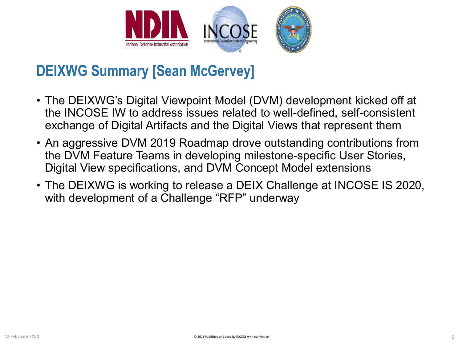

#### **DEIXWG Summary [Sean McGervey]**

- The DEIXWG's Digital Viewpoint Model (DVM) development kicked off at the INCOSE IW to address issues related to well-defined, self-consistent exchange of Digital Artifacts and the Digital Views that represent them
- An aggressive DVM 2019 Roadmap drove outstanding contributions from the DVM Feature Teams in developing milestone-specific User Stories, Digital View specifications, and DVM Concept Model extensions
- The DEIXWG is working to release a DEIX Challenge at INCOSE IS 2020, with development of a Challenge "RFP" underway